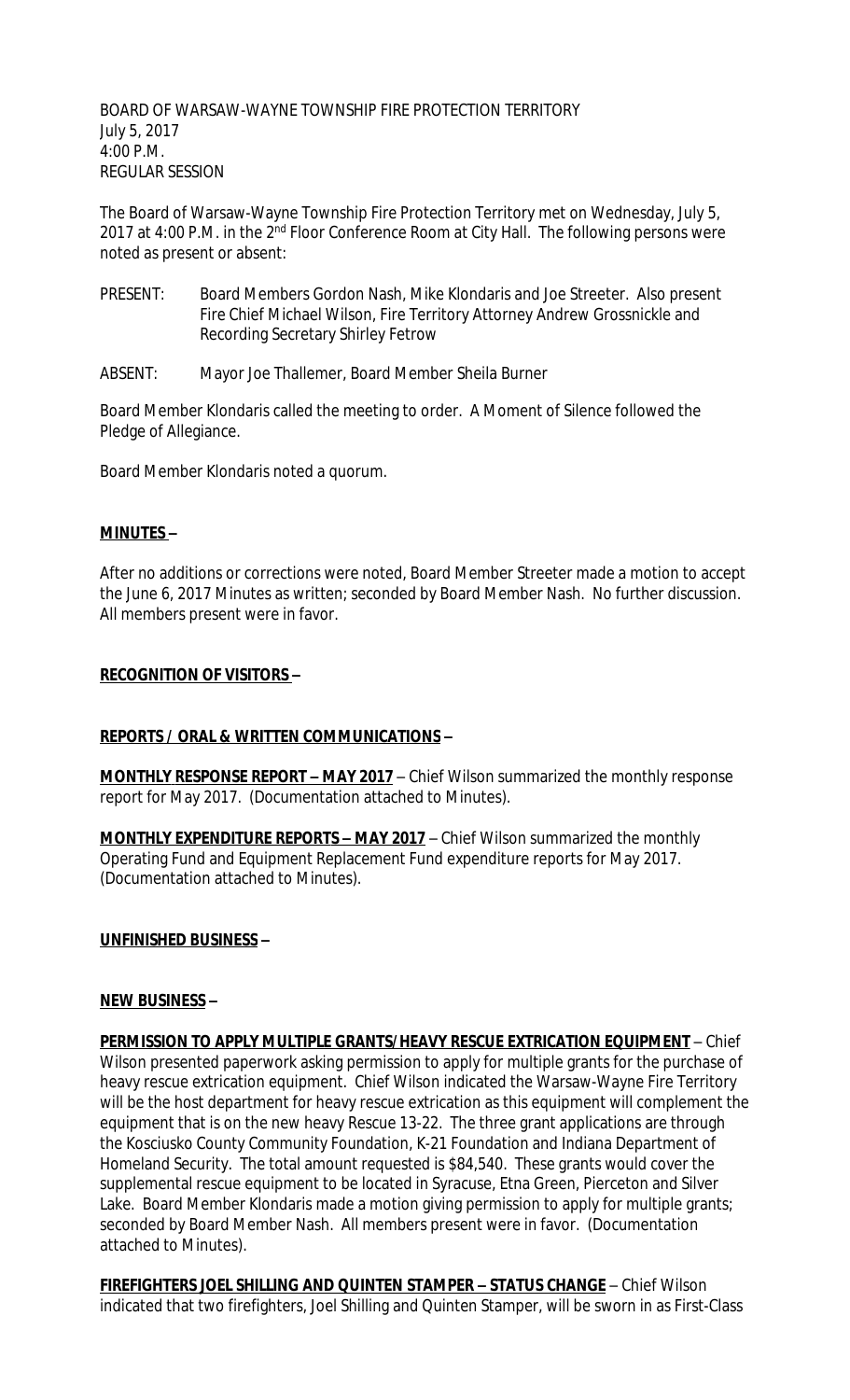BOARD OF WARSAW-WAYNE TOWNSHIP FIRE PROTECTION TERRITORY July 5, 2017 4:00 P.M. REGULAR SESSION

The Board of Warsaw-Wayne Township Fire Protection Territory met on Wednesday, July 5, 2017 at 4:00 P.M. in the 2<sup>nd</sup> Floor Conference Room at City Hall. The following persons were noted as present or absent:

- PRESENT: Board Members Gordon Nash, Mike Klondaris and Joe Streeter. Also present Fire Chief Michael Wilson, Fire Territory Attorney Andrew Grossnickle and Recording Secretary Shirley Fetrow
- ABSENT: Mayor Joe Thallemer, Board Member Sheila Burner

Board Member Klondaris called the meeting to order. A Moment of Silence followed the Pledge of Allegiance.

Board Member Klondaris noted a quorum.

### **MINUTES –**

After no additions or corrections were noted, Board Member Streeter made a motion to accept the June 6, 2017 Minutes as written; seconded by Board Member Nash. No further discussion. All members present were in favor.

### **RECOGNITION OF VISITORS –**

## **REPORTS / ORAL & WRITTEN COMMUNICATIONS –**

**MONTHLY RESPONSE REPORT – MAY 2017** – Chief Wilson summarized the monthly response report for May 2017. (Documentation attached to Minutes).

**MONTHLY EXPENDITURE REPORTS – MAY 2017** – Chief Wilson summarized the monthly Operating Fund and Equipment Replacement Fund expenditure reports for May 2017. (Documentation attached to Minutes).

## **UNFINISHED BUSINESS –**

#### **NEW BUSINESS –**

**PERMISSION TO APPLY MULTIPLE GRANTS/HEAVY RESCUE EXTRICATION EQUIPMENT** – Chief Wilson presented paperwork asking permission to apply for multiple grants for the purchase of heavy rescue extrication equipment. Chief Wilson indicated the Warsaw-Wayne Fire Territory will be the host department for heavy rescue extrication as this equipment will complement the equipment that is on the new heavy Rescue 13-22. The three grant applications are through the Kosciusko County Community Foundation, K-21 Foundation and Indiana Department of Homeland Security. The total amount requested is \$84,540. These grants would cover the supplemental rescue equipment to be located in Syracuse, Etna Green, Pierceton and Silver Lake. Board Member Klondaris made a motion giving permission to apply for multiple grants; seconded by Board Member Nash. All members present were in favor. (Documentation attached to Minutes).

**FIREFIGHTERS JOEL SHILLING AND QUINTEN STAMPER – STATUS CHANGE** – Chief Wilson indicated that two firefighters, Joel Shilling and Quinten Stamper, will be sworn in as First-Class